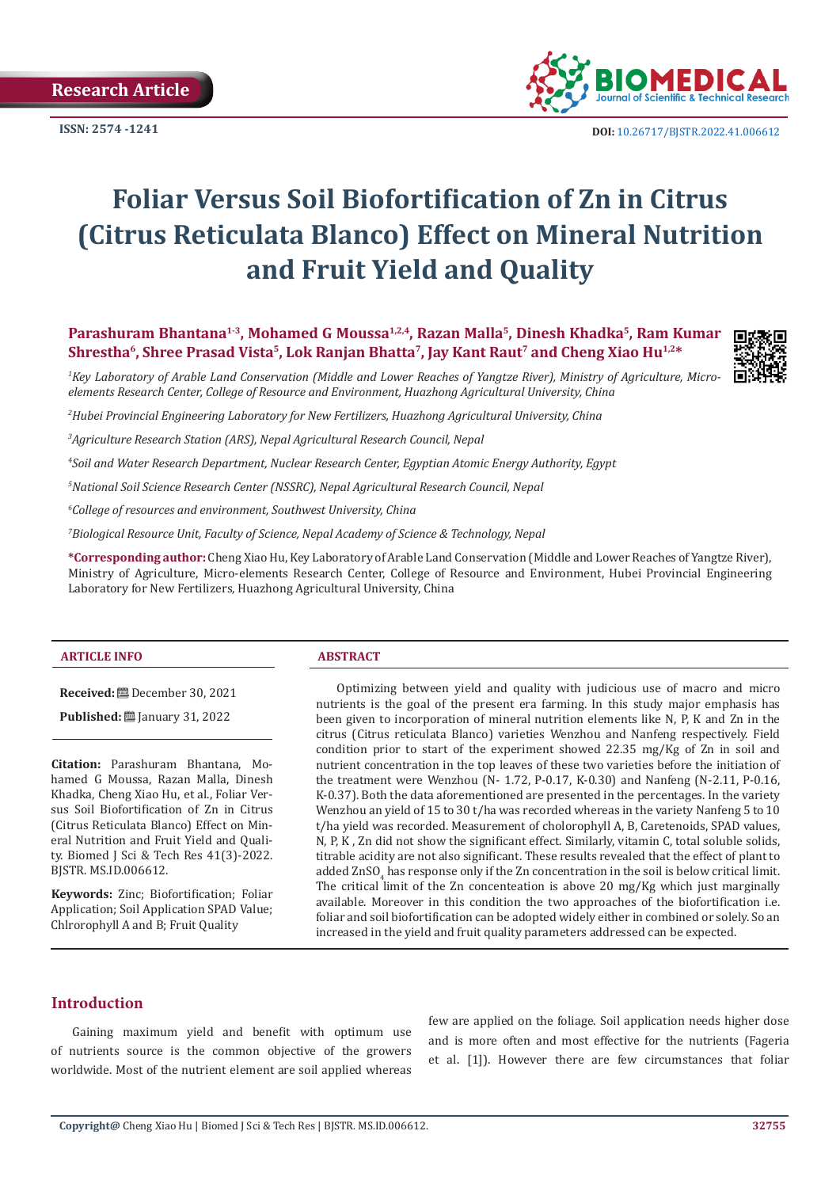**Research Article**



**ISSN:** 2574 -1241 **DOI:** [10.26717/BJSTR.2022.41.006612](https://dx.doi.org/10.26717/BJSTR.2022.41.006612)

# **Foliar Versus Soil Biofortification of Zn in Citrus (Citrus Reticulata Blanco) Effect on Mineral Nutrition and Fruit Yield and Quality**

**Parashuram Bhantana1-3, Mohamed G Moussa1,2,4, Razan Malla<sup>5</sup>, Dinesh Khadka<sup>5</sup>, Ram Kumar Shrestha6, Shree Prasad Vista<sup>5</sup>, Lok Ranjan Bhatta<sup>7</sup>, Jay Kant Raut<sup>7</sup> and Cheng Xiao Hu1,2\***



*1 Key Laboratory of Arable Land Conservation (Middle and Lower Reaches of Yangtze River), Ministry of Agriculture, Microelements Research Center, College of Resource and Environment, Huazhong Agricultural University, China*

*2 Hubei Provincial Engineering Laboratory for New Fertilizers, Huazhong Agricultural University, China*

*3 Agriculture Research Station (ARS), Nepal Agricultural Research Council, Nepal*

*4 Soil and Water Research Department, Nuclear Research Center, Egyptian Atomic Energy Authority, Egypt*

*5 National Soil Science Research Center (NSSRC), Nepal Agricultural Research Council, Nepal*

*6 College of resources and environment, Southwest University, China*

*7 Biological Resource Unit, Faculty of Science, Nepal Academy of Science & Technology, Nepal*

**\*Corresponding author:** Cheng Xiao Hu, Key Laboratory of Arable Land Conservation (Middle and Lower Reaches of Yangtze River), Ministry of Agriculture, Micro-elements Research Center, College of Resource and Environment, Hubei Provincial Engineering Laboratory for New Fertilizers, Huazhong Agricultural University, China

#### **ARTICLE INFO ABSTRACT**

**Received:** December 30, 2021

**Published:** ■ January 31, 2022

**Citation:** Parashuram Bhantana, Mohamed G Moussa, Razan Malla, Dinesh Khadka, Cheng Xiao Hu, et al., Foliar Versus Soil Biofortification of Zn in Citrus (Citrus Reticulata Blanco) Effect on Mineral Nutrition and Fruit Yield and Quality. Biomed J Sci & Tech Res 41(3)-2022. BJSTR. MS.ID.006612.

**Keywords:** Zinc; Biofortification; Foliar Application; Soil Application SPAD Value; Chlrorophyll A and B; Fruit Quality

Optimizing between yield and quality with judicious use of macro and micro nutrients is the goal of the present era farming. In this study major emphasis has been given to incorporation of mineral nutrition elements like N, P, K and Zn in the citrus (Citrus reticulata Blanco) varieties Wenzhou and Nanfeng respectively. Field condition prior to start of the experiment showed 22.35 mg/Kg of Zn in soil and nutrient concentration in the top leaves of these two varieties before the initiation of the treatment were Wenzhou (N- 1.72, P-0.17, K-0.30) and Nanfeng (N-2.11, P-0.16, K-0.37). Both the data aforementioned are presented in the percentages. In the variety Wenzhou an yield of 15 to 30 t/ha was recorded whereas in the variety Nanfeng 5 to 10 t/ha yield was recorded. Measurement of cholorophyll A, B, Caretenoids, SPAD values, N, P, K , Zn did not show the significant effect. Similarly, vitamin C, total soluble solids, titrable acidity are not also significant. These results revealed that the effect of plant to added ZnSO<sup>4</sup> has response only if the Zn concentration in the soil is below critical limit. The critical limit of the Zn concenteation is above 20 mg/Kg which just marginally available. Moreover in this condition the two approaches of the biofortification i.e. foliar and soil biofortification can be adopted widely either in combined or solely. So an increased in the yield and fruit quality parameters addressed can be expected.

#### **Introduction**

Gaining maximum yield and benefit with optimum use of nutrients source is the common objective of the growers worldwide. Most of the nutrient element are soil applied whereas few are applied on the foliage. Soil application needs higher dose and is more often and most effective for the nutrients (Fageria et al. [1]). However there are few circumstances that foliar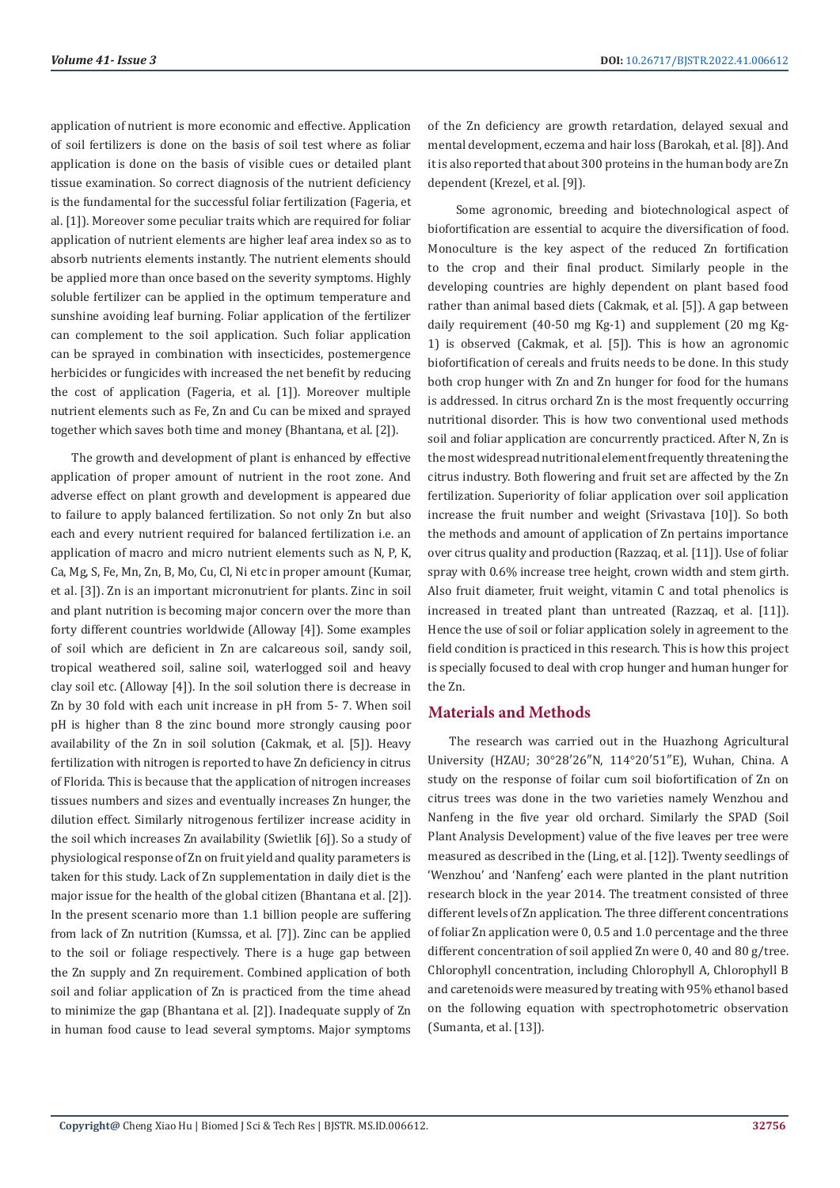application of nutrient is more economic and effective. Application of soil fertilizers is done on the basis of soil test where as foliar application is done on the basis of visible cues or detailed plant tissue examination. So correct diagnosis of the nutrient deficiency is the fundamental for the successful foliar fertilization (Fageria, et al. [1]). Moreover some peculiar traits which are required for foliar application of nutrient elements are higher leaf area index so as to absorb nutrients elements instantly. The nutrient elements should be applied more than once based on the severity symptoms. Highly soluble fertilizer can be applied in the optimum temperature and sunshine avoiding leaf burning. Foliar application of the fertilizer can complement to the soil application. Such foliar application can be sprayed in combination with insecticides, postemergence herbicides or fungicides with increased the net benefit by reducing the cost of application (Fageria, et al. [1]). Moreover multiple nutrient elements such as Fe, Zn and Cu can be mixed and sprayed together which saves both time and money (Bhantana, et al. [2]).

The growth and development of plant is enhanced by effective application of proper amount of nutrient in the root zone. And adverse effect on plant growth and development is appeared due to failure to apply balanced fertilization. So not only Zn but also each and every nutrient required for balanced fertilization i.e. an application of macro and micro nutrient elements such as N, P, K, Ca, Mg, S, Fe, Mn, Zn, B, Mo, Cu, Cl, Ni etc in proper amount (Kumar, et al. [3]). Zn is an important micronutrient for plants. Zinc in soil and plant nutrition is becoming major concern over the more than forty different countries worldwide (Alloway [4]). Some examples of soil which are deficient in Zn are calcareous soil, sandy soil, tropical weathered soil, saline soil, waterlogged soil and heavy clay soil etc. (Alloway [4]). In the soil solution there is decrease in Zn by 30 fold with each unit increase in pH from 5- 7. When soil pH is higher than 8 the zinc bound more strongly causing poor availability of the Zn in soil solution (Cakmak, et al. [5]). Heavy fertilization with nitrogen is reported to have Zn deficiency in citrus of Florida. This is because that the application of nitrogen increases tissues numbers and sizes and eventually increases Zn hunger, the dilution effect. Similarly nitrogenous fertilizer increase acidity in the soil which increases Zn availability (Swietlik [6]). So a study of physiological response of Zn on fruit yield and quality parameters is taken for this study. Lack of Zn supplementation in daily diet is the major issue for the health of the global citizen (Bhantana et al. [2]). In the present scenario more than 1.1 billion people are suffering from lack of Zn nutrition (Kumssa, et al. [7]). Zinc can be applied to the soil or foliage respectively. There is a huge gap between the Zn supply and Zn requirement. Combined application of both soil and foliar application of Zn is practiced from the time ahead to minimize the gap (Bhantana et al. [2]). Inadequate supply of Zn in human food cause to lead several symptoms. Major symptoms

of the Zn deficiency are growth retardation, delayed sexual and mental development, eczema and hair loss (Barokah, et al. [8]). And it is also reported that about 300 proteins in the human body are Zn dependent (Krezel, et al. [9]).

 Some agronomic, breeding and biotechnological aspect of biofortification are essential to acquire the diversification of food. Monoculture is the key aspect of the reduced Zn fortification to the crop and their final product. Similarly people in the developing countries are highly dependent on plant based food rather than animal based diets (Cakmak, et al. [5]). A gap between daily requirement (40-50 mg Kg-1) and supplement (20 mg Kg-1) is observed (Cakmak, et al. [5]). This is how an agronomic biofortification of cereals and fruits needs to be done. In this study both crop hunger with Zn and Zn hunger for food for the humans is addressed. In citrus orchard Zn is the most frequently occurring nutritional disorder. This is how two conventional used methods soil and foliar application are concurrently practiced. After N, Zn is the most widespread nutritional element frequently threatening the citrus industry. Both flowering and fruit set are affected by the Zn fertilization. Superiority of foliar application over soil application increase the fruit number and weight (Srivastava [10]). So both the methods and amount of application of Zn pertains importance over citrus quality and production (Razzaq, et al. [11]). Use of foliar spray with 0.6% increase tree height, crown width and stem girth. Also fruit diameter, fruit weight, vitamin C and total phenolics is increased in treated plant than untreated (Razzaq, et al. [11]). Hence the use of soil or foliar application solely in agreement to the field condition is practiced in this research. This is how this project is specially focused to deal with crop hunger and human hunger for the Zn.

# **Materials and Methods**

The research was carried out in the Huazhong Agricultural University (HZAU; 30°28′26″N, 114°20′51″E), Wuhan, China. A study on the response of foilar cum soil biofortification of Zn on citrus trees was done in the two varieties namely Wenzhou and Nanfeng in the five year old orchard. Similarly the SPAD (Soil Plant Analysis Development) value of the five leaves per tree were measured as described in the (Ling, et al. [12]). Twenty seedlings of 'Wenzhou' and 'Nanfeng' each were planted in the plant nutrition research block in the year 2014. The treatment consisted of three different levels of Zn application. The three different concentrations of foliar Zn application were 0, 0.5 and 1.0 percentage and the three different concentration of soil applied Zn were 0, 40 and 80 g/tree. Chlorophyll concentration, including Chlorophyll A, Chlorophyll B and caretenoids were measured by treating with 95% ethanol based on the following equation with spectrophotometric observation (Sumanta, et al. [13]).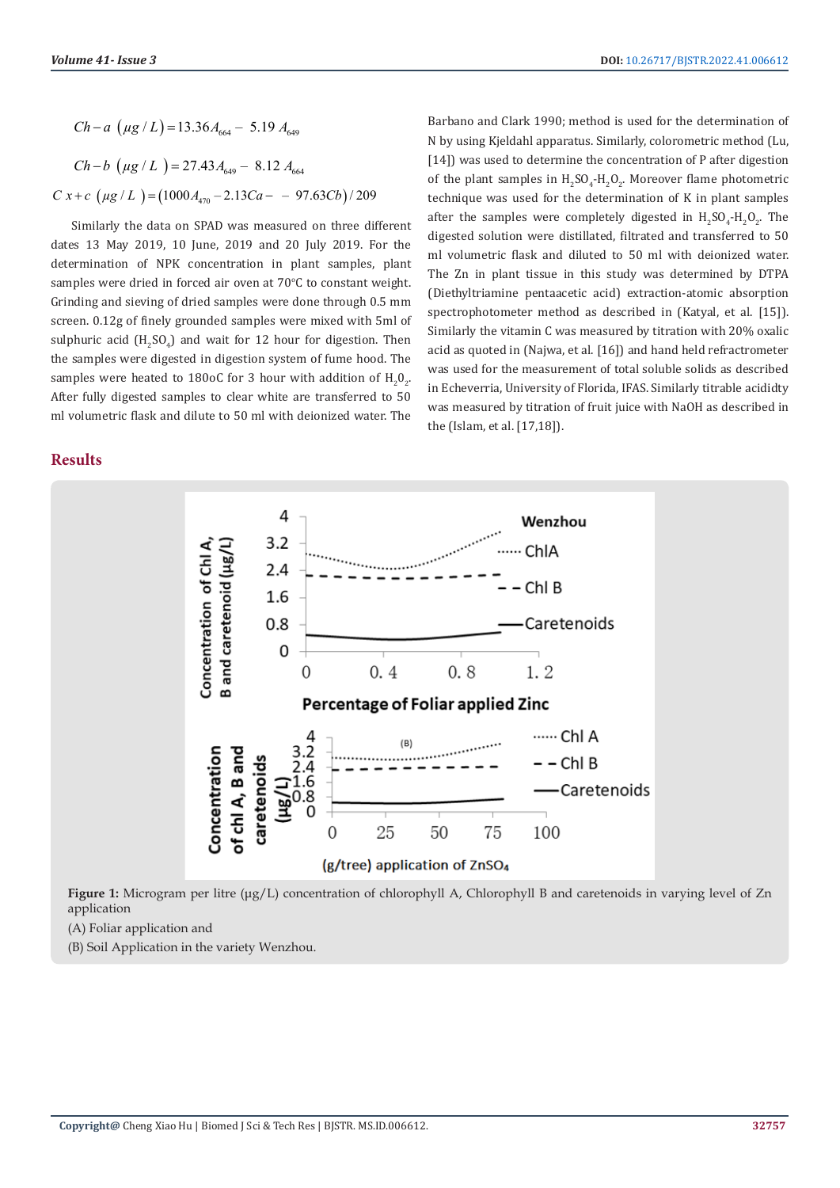$Ch - a \left( \mu g / L \right) = 13.36 A_{664} - 5.19 A_{649}$  $Ch - b$  ( $\mu$ g / L  $) = 27.43 A_{640} - 8.12 A_{664}$  $C x + c$  ( $\mu$ g *L*) = (1000 $A_{\alpha}$  – 2.13Ca – – 97.63Cb)/209

Similarly the data on SPAD was measured on three different dates 13 May 2019, 10 June, 2019 and 20 July 2019. For the determination of NPK concentration in plant samples, plant samples were dried in forced air oven at  $70^{\circ}$ C to constant weight. Grinding and sieving of dried samples were done through 0.5 mm screen. 0.12g of finely grounded samples were mixed with 5ml of sulphuric acid  $\rm (H_2SO_4)$  and wait for 12 hour for digestion. Then the samples were digested in digestion system of fume hood. The samples were heated to 180oC for 3 hour with addition of  $\rm H_2O_2$ . After fully digested samples to clear white are transferred to 50 ml volumetric flask and dilute to 50 ml with deionized water. The

**Results**

Barbano and Clark 1990; method is used for the determination of N by using Kjeldahl apparatus. Similarly, colorometric method (Lu, [14]) was used to determine the concentration of P after digestion of the plant samples in  $H_2SO_4$ - $H_2O_2$ . Moreover flame photometric technique was used for the determination of K in plant samples after the samples were completely digested in  $H_2SO_4$ - $H_2O_2$ . The digested solution were distillated, filtrated and transferred to 50 ml volumetric flask and diluted to 50 ml with deionized water. The Zn in plant tissue in this study was determined by DTPA (Diethyltriamine pentaacetic acid) extraction-atomic absorption spectrophotometer method as described in (Katyal, et al. [15]). Similarly the vitamin C was measured by titration with 20% oxalic acid as quoted in (Najwa, et al. [16]) and hand held refractrometer was used for the measurement of total soluble solids as described in Echeverria, University of Florida, IFAS. Similarly titrable acididty was measured by titration of fruit juice with NaOH as described in the (Islam, et al. [17,18]).



**Figure 1:** Microgram per litre (μg/L) concentration of chlorophyll A, Chlorophyll B and caretenoids in varying level of Zn application

(A) Foliar application and

(B) Soil Application in the variety Wenzhou.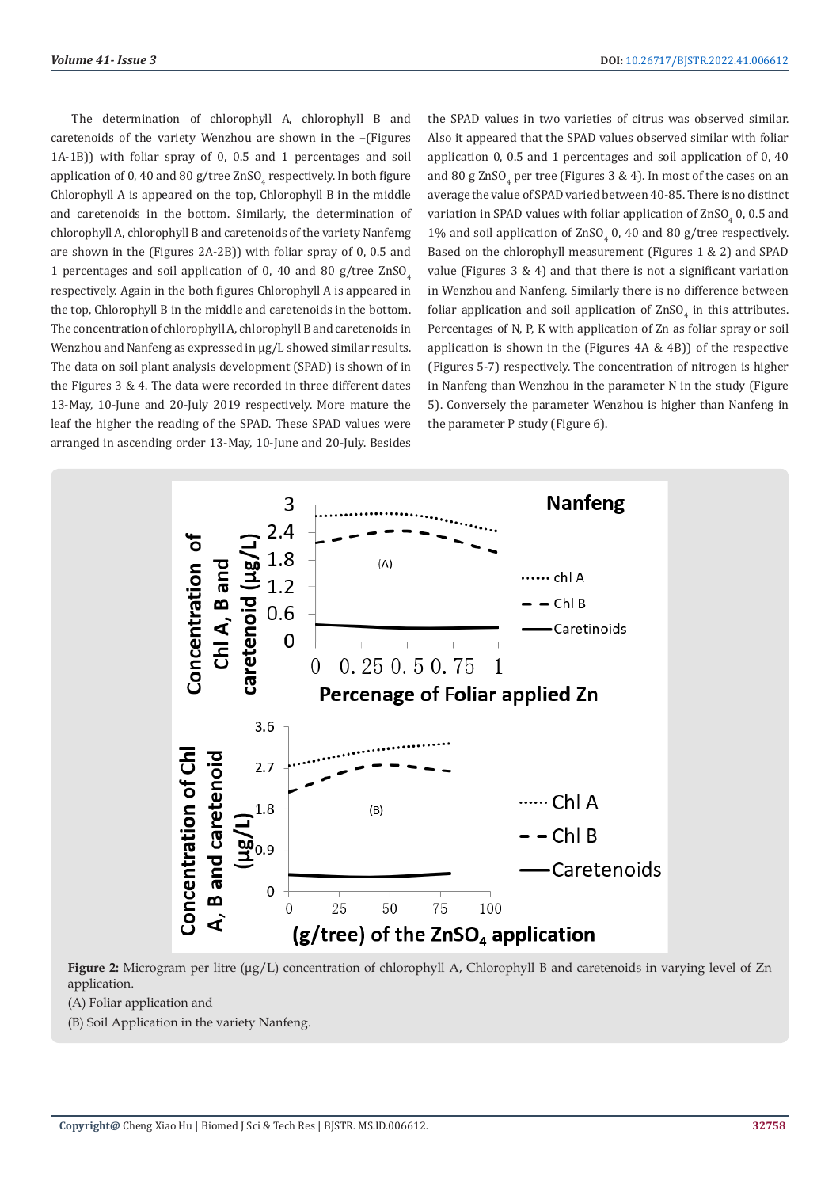The determination of chlorophyll A, chlorophyll B and caretenoids of the variety Wenzhou are shown in the –(Figures 1A-1B)) with foliar spray of 0, 0.5 and 1 percentages and soil application of 0, 40 and 80 g/tree  $\mathrm{ZnSO}_{4}$  respectively. In both figure Chlorophyll A is appeared on the top, Chlorophyll B in the middle and caretenoids in the bottom. Similarly, the determination of chlorophyll A, chlorophyll B and caretenoids of the variety Nanfemg are shown in the (Figures 2A-2B)) with foliar spray of 0, 0.5 and 1 percentages and soil application of 0, 40 and 80 g/tree  $ZnSO<sub>4</sub>$ respectively. Again in the both figures Chlorophyll A is appeared in the top, Chlorophyll B in the middle and caretenoids in the bottom. The concentration of chlorophyll A, chlorophyll B and caretenoids in Wenzhou and Nanfeng as expressed in  $\mu$ g/L showed similar results. The data on soil plant analysis development (SPAD) is shown of in the Figures 3 & 4. The data were recorded in three different dates 13-May, 10-June and 20-July 2019 respectively. More mature the leaf the higher the reading of the SPAD. These SPAD values were arranged in ascending order 13-May, 10-June and 20-July. Besides

the SPAD values in two varieties of citrus was observed similar. Also it appeared that the SPAD values observed similar with foliar application 0, 0.5 and 1 percentages and soil application of 0, 40 and 80 g  $\text{ZnSO}_4$  per tree (Figures 3 & 4). In most of the cases on an average the value of SPAD varied between 40-85. There is no distinct variation in SPAD values with foliar application of  $\rm ZnSO_{4}$  0, 0.5 and  $1\%$  and soil application of  $2nSO_4$  0, 40 and 80 g/tree respectively. Based on the chlorophyll measurement (Figures 1 & 2) and SPAD value (Figures 3 & 4) and that there is not a significant variation in Wenzhou and Nanfeng. Similarly there is no difference between foliar application and soil application of  $2nSO<sub>4</sub>$  in this attributes. Percentages of N, P, K with application of Zn as foliar spray or soil application is shown in the (Figures 4A & 4B)) of the respective (Figures 5-7) respectively. The concentration of nitrogen is higher in Nanfeng than Wenzhou in the parameter N in the study (Figure 5). Conversely the parameter Wenzhou is higher than Nanfeng in the parameter P study (Figure 6).



**Figure 2:** Microgram per litre (μg/L) concentration of chlorophyll A, Chlorophyll B and caretenoids in varying level of Zn application.

(A) Foliar application and

(B) Soil Application in the variety Nanfeng.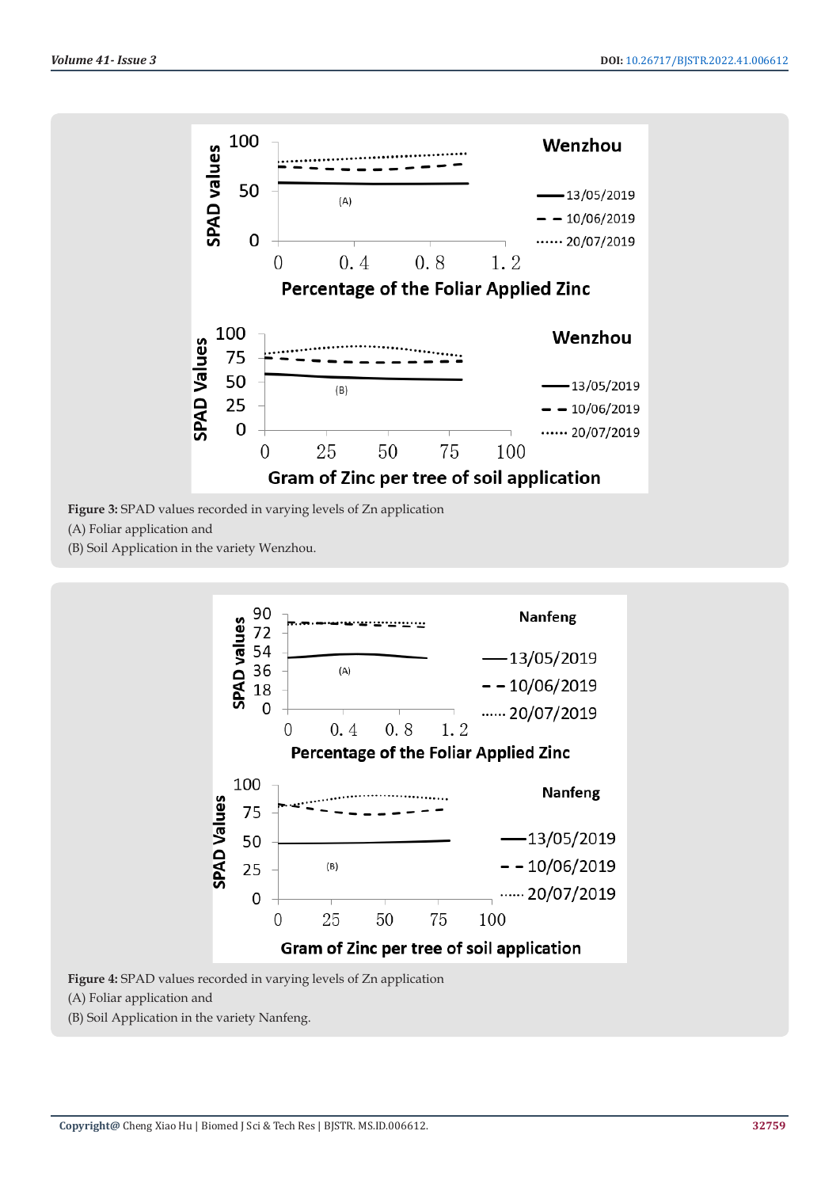

**Figure 3:** SPAD values recorded in varying levels of Zn application

(A) Foliar application and

(B) Soil Application in the variety Wenzhou.



**Figure 4:** SPAD values recorded in varying levels of Zn application

(A) Foliar application and

(B) Soil Application in the variety Nanfeng.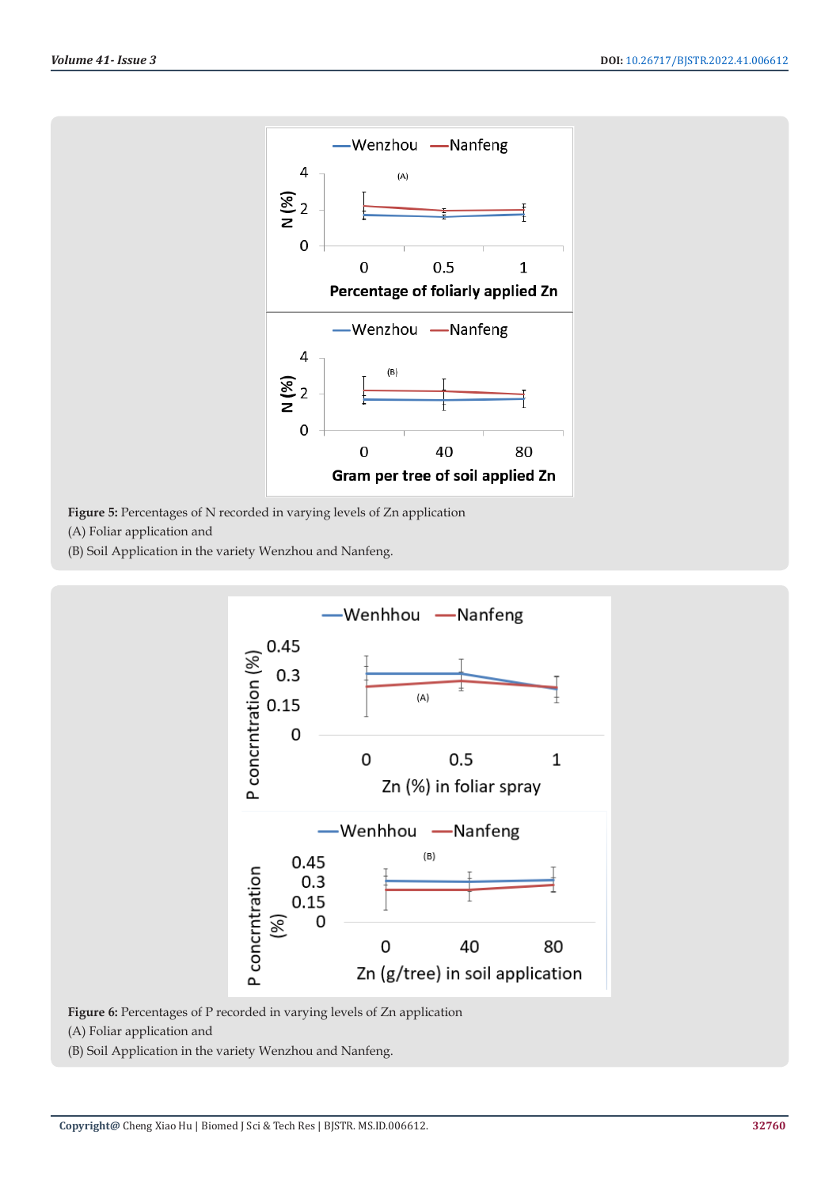

**Figure 5:** Percentages of N recorded in varying levels of Zn application

(A) Foliar application and

(B) Soil Application in the variety Wenzhou and Nanfeng.



**Figure 6:** Percentages of P recorded in varying levels of Zn application

(A) Foliar application and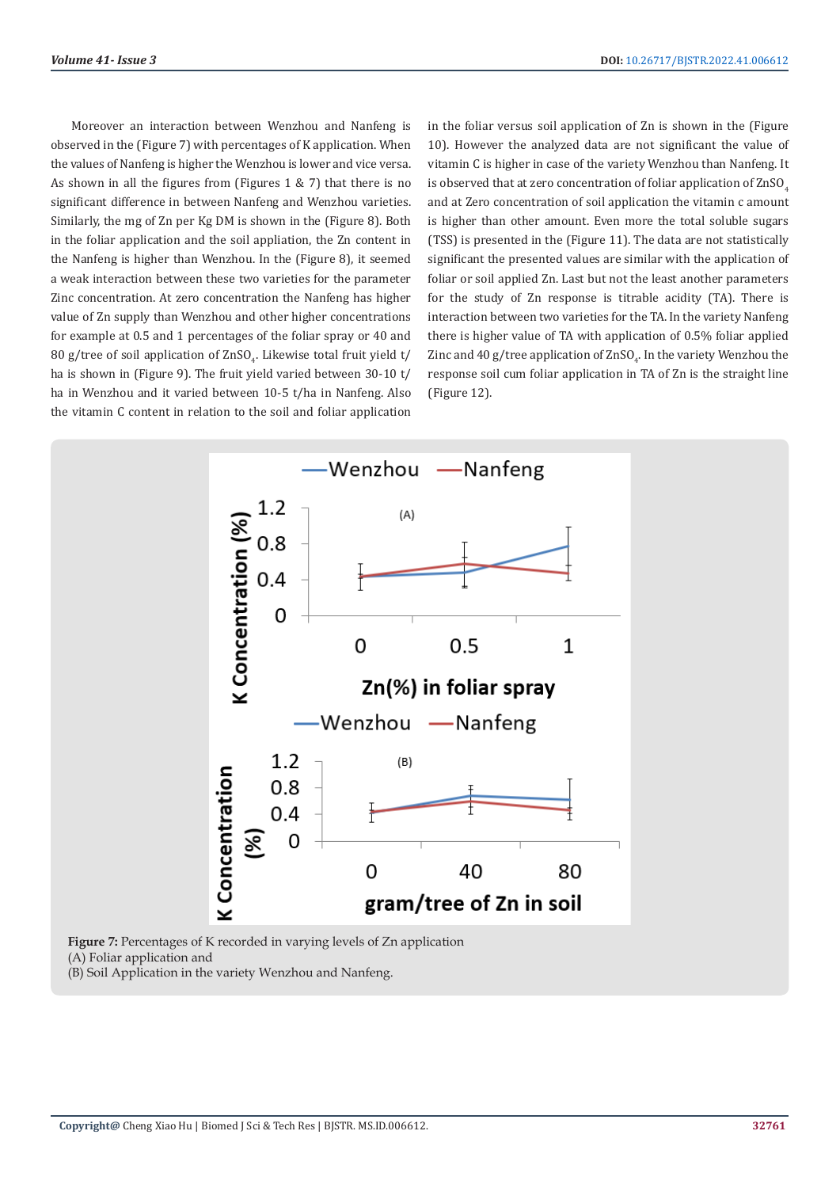Moreover an interaction between Wenzhou and Nanfeng is observed in the (Figure 7) with percentages of K application. When the values of Nanfeng is higher the Wenzhou is lower and vice versa. As shown in all the figures from (Figures 1 & 7) that there is no significant difference in between Nanfeng and Wenzhou varieties. Similarly, the mg of Zn per Kg DM is shown in the (Figure 8). Both in the foliar application and the soil appliation, the Zn content in the Nanfeng is higher than Wenzhou. In the (Figure 8), it seemed a weak interaction between these two varieties for the parameter Zinc concentration. At zero concentration the Nanfeng has higher value of Zn supply than Wenzhou and other higher concentrations for example at 0.5 and 1 percentages of the foliar spray or 40 and  $80$  g/tree of soil application of  $2nSO_4$ . Likewise total fruit yield t/ ha is shown in (Figure 9). The fruit yield varied between 30-10 t/ ha in Wenzhou and it varied between 10-5 t/ha in Nanfeng. Also the vitamin C content in relation to the soil and foliar application

in the foliar versus soil application of Zn is shown in the (Figure 10). However the analyzed data are not significant the value of vitamin C is higher in case of the variety Wenzhou than Nanfeng. It is observed that at zero concentration of foliar application of ZnSO. and at Zero concentration of soil application the vitamin c amount is higher than other amount. Even more the total soluble sugars (TSS) is presented in the (Figure 11). The data are not statistically significant the presented values are similar with the application of foliar or soil applied Zn. Last but not the least another parameters for the study of Zn response is titrable acidity (TA). There is interaction between two varieties for the TA. In the variety Nanfeng there is higher value of TA with application of 0.5% foliar applied Zinc and 40 g/tree application of  $\rm ZnSO_4.$  In the variety Wenzhou the response soil cum foliar application in TA of Zn is the straight line (Figure 12).

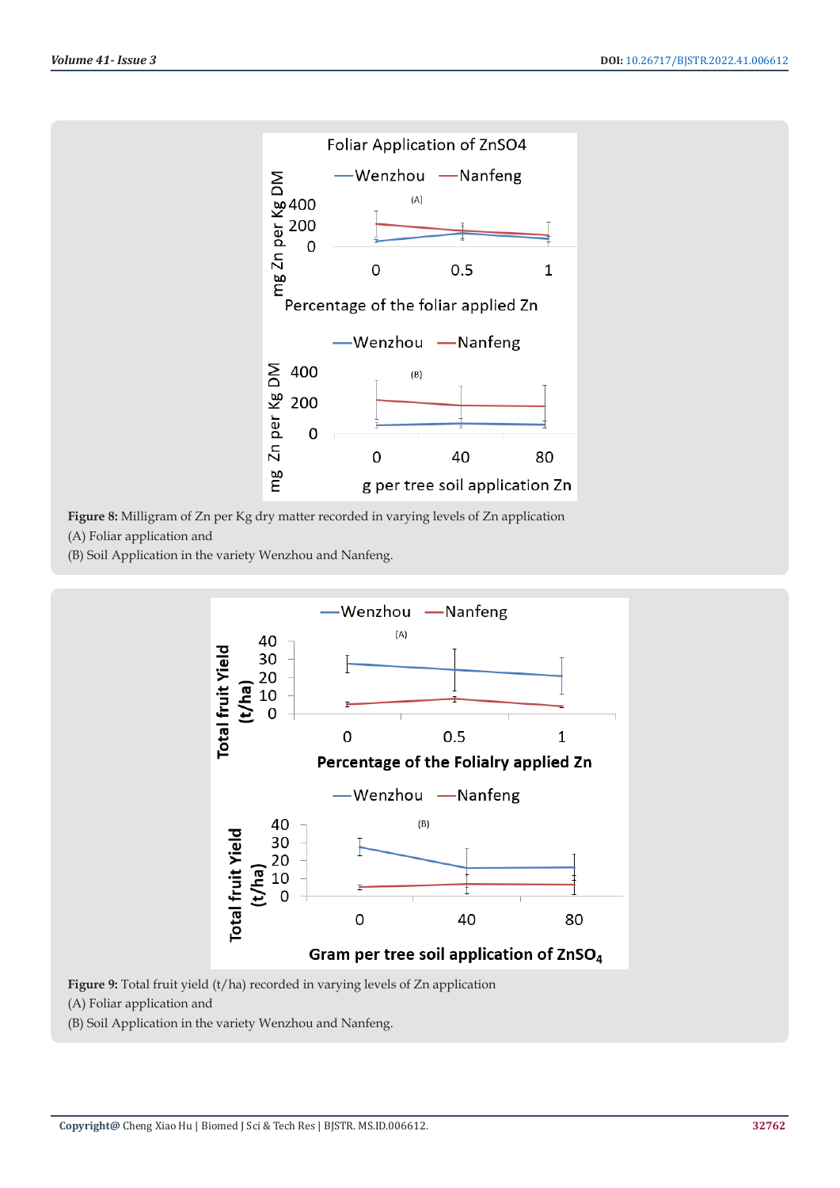

**Figure 8:** Milligram of Zn per Kg dry matter recorded in varying levels of Zn application (A) Foliar application and

(B) Soil Application in the variety Wenzhou and Nanfeng.



**Figure 9:** Total fruit yield (t/ha) recorded in varying levels of Zn application (A) Foliar application and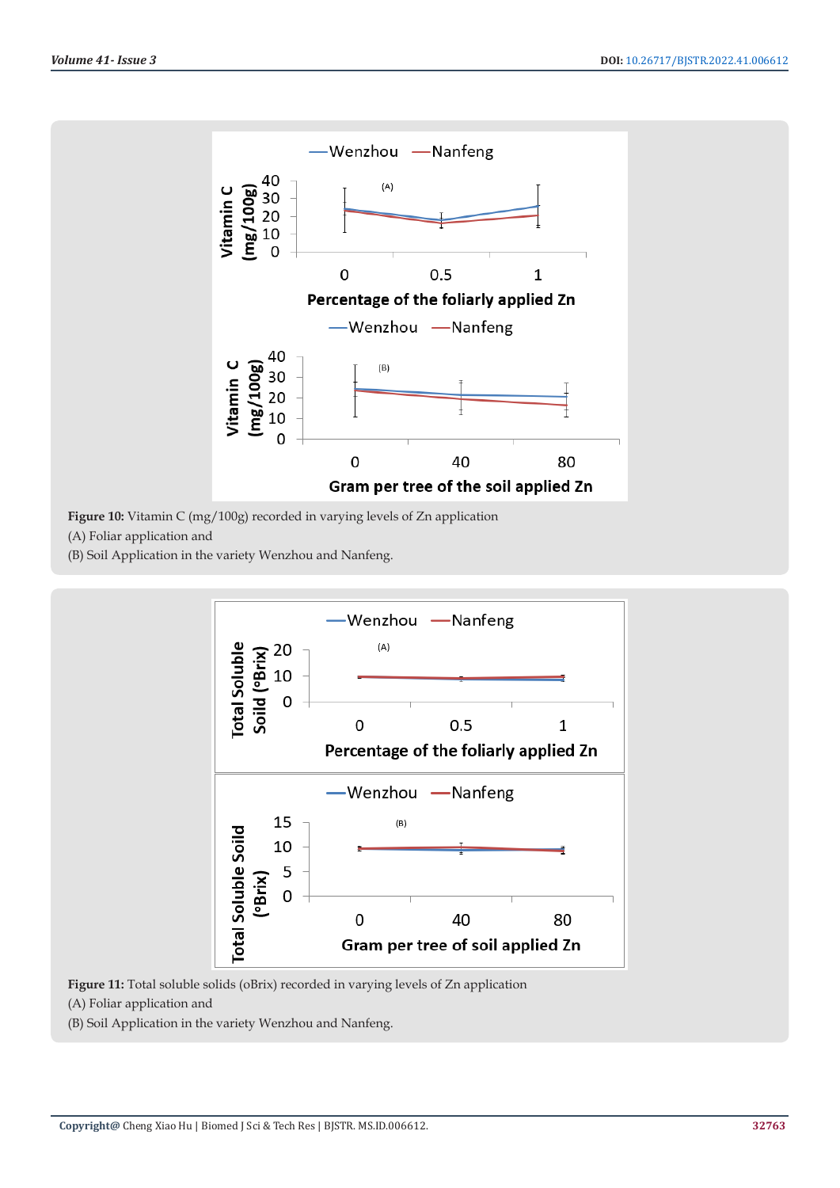

**Figure 10:** Vitamin C (mg/100g) recorded in varying levels of Zn application

(A) Foliar application and

(B) Soil Application in the variety Wenzhou and Nanfeng.



**Figure 11:** Total soluble solids (oBrix) recorded in varying levels of Zn application

(A) Foliar application and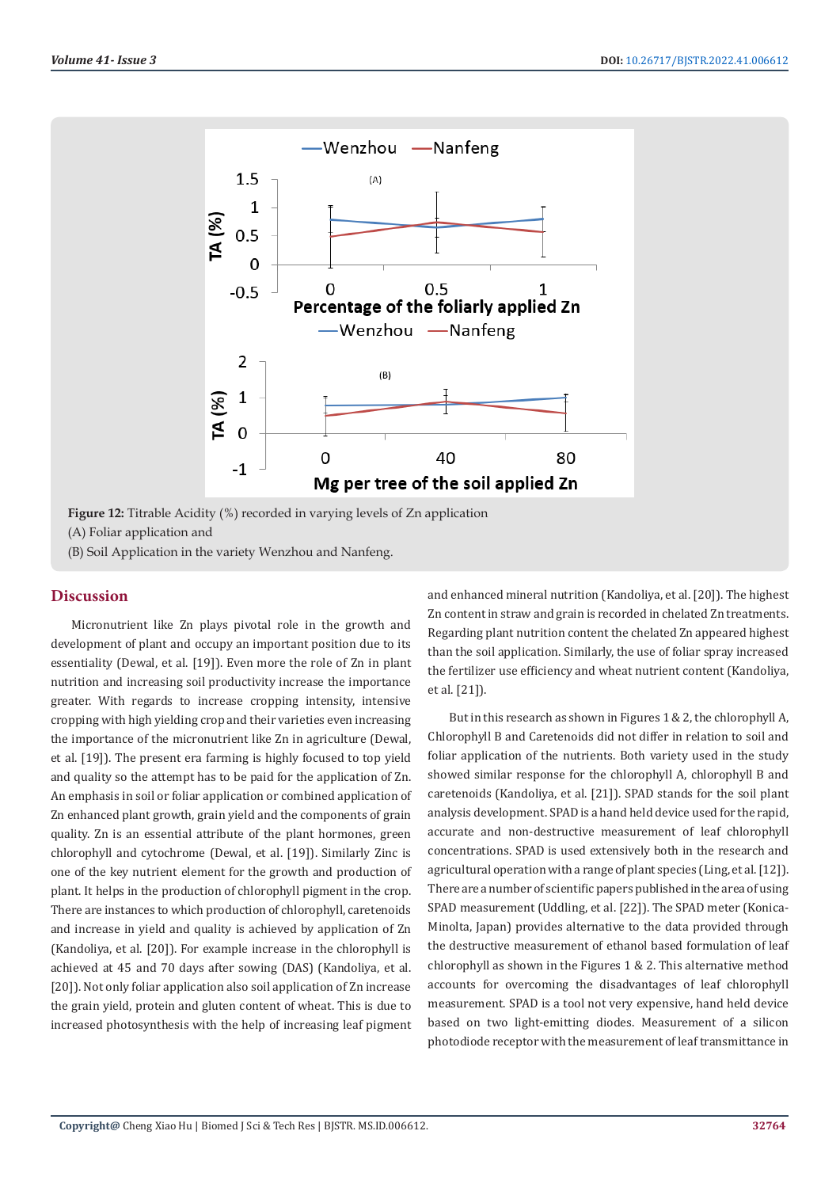

**Figure 12:** Titrable Acidity (%) recorded in varying levels of Zn application (A) Foliar application and

(B) Soil Application in the variety Wenzhou and Nanfeng.

# **Discussion**

Micronutrient like Zn plays pivotal role in the growth and development of plant and occupy an important position due to its essentiality (Dewal, et al. [19]). Even more the role of Zn in plant nutrition and increasing soil productivity increase the importance greater. With regards to increase cropping intensity, intensive cropping with high yielding crop and their varieties even increasing the importance of the micronutrient like Zn in agriculture (Dewal, et al. [19]). The present era farming is highly focused to top yield and quality so the attempt has to be paid for the application of Zn. An emphasis in soil or foliar application or combined application of Zn enhanced plant growth, grain yield and the components of grain quality. Zn is an essential attribute of the plant hormones, green chlorophyll and cytochrome (Dewal, et al. [19]). Similarly Zinc is one of the key nutrient element for the growth and production of plant. It helps in the production of chlorophyll pigment in the crop. There are instances to which production of chlorophyll, caretenoids and increase in yield and quality is achieved by application of Zn (Kandoliya, et al. [20]). For example increase in the chlorophyll is achieved at 45 and 70 days after sowing (DAS) (Kandoliya, et al. [20]). Not only foliar application also soil application of Zn increase the grain yield, protein and gluten content of wheat. This is due to increased photosynthesis with the help of increasing leaf pigment

and enhanced mineral nutrition (Kandoliya, et al. [20]). The highest Zn content in straw and grain is recorded in chelated Zn treatments. Regarding plant nutrition content the chelated Zn appeared highest than the soil application. Similarly, the use of foliar spray increased the fertilizer use efficiency and wheat nutrient content (Kandoliya, et al. [21]).

But in this research as shown in Figures 1 & 2, the chlorophyll A, Chlorophyll B and Caretenoids did not differ in relation to soil and foliar application of the nutrients. Both variety used in the study showed similar response for the chlorophyll A, chlorophyll B and caretenoids (Kandoliya, et al. [21]). SPAD stands for the soil plant analysis development. SPAD is a hand held device used for the rapid, accurate and non-destructive measurement of leaf chlorophyll concentrations. SPAD is used extensively both in the research and agricultural operation with a range of plant species (Ling, et al. [12]). There are a number of scientific papers published in the area of using SPAD measurement (Uddling, et al. [22]). The SPAD meter (Konica-Minolta, Japan) provides alternative to the data provided through the destructive measurement of ethanol based formulation of leaf chlorophyll as shown in the Figures 1 & 2. This alternative method accounts for overcoming the disadvantages of leaf chlorophyll measurement. SPAD is a tool not very expensive, hand held device based on two light-emitting diodes. Measurement of a silicon photodiode receptor with the measurement of leaf transmittance in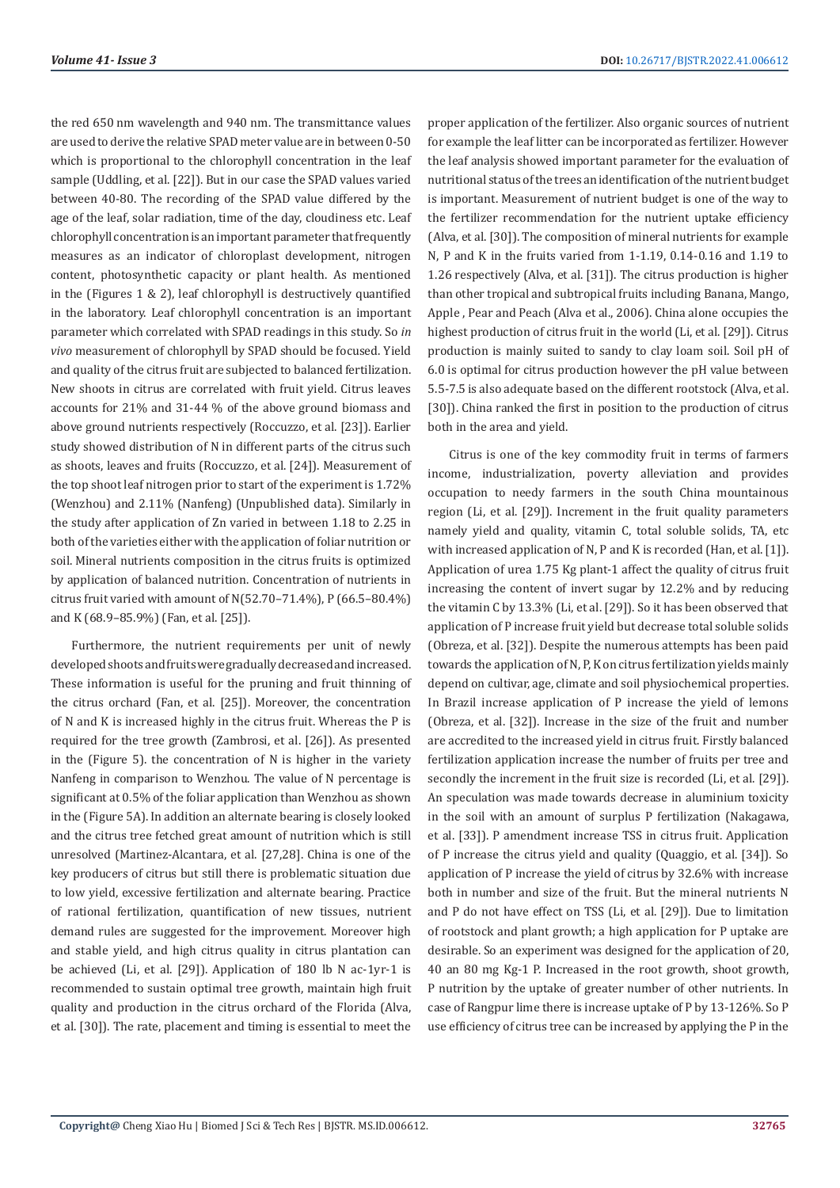the red 650 nm wavelength and 940 nm. The transmittance values are used to derive the relative SPAD meter value are in between 0-50 which is proportional to the chlorophyll concentration in the leaf sample (Uddling, et al. [22]). But in our case the SPAD values varied between 40-80. The recording of the SPAD value differed by the age of the leaf, solar radiation, time of the day, cloudiness etc. Leaf chlorophyll concentration is an important parameter that frequently measures as an indicator of chloroplast development, nitrogen content, photosynthetic capacity or plant health. As mentioned in the (Figures 1 & 2), leaf chlorophyll is destructively quantified in the laboratory. Leaf chlorophyll concentration is an important parameter which correlated with SPAD readings in this study. So *in vivo* measurement of chlorophyll by SPAD should be focused. Yield and quality of the citrus fruit are subjected to balanced fertilization. New shoots in citrus are correlated with fruit yield. Citrus leaves accounts for 21% and 31-44 % of the above ground biomass and above ground nutrients respectively (Roccuzzo, et al. [23]). Earlier study showed distribution of N in different parts of the citrus such as shoots, leaves and fruits (Roccuzzo, et al. [24]). Measurement of the top shoot leaf nitrogen prior to start of the experiment is 1.72% (Wenzhou) and 2.11% (Nanfeng) (Unpublished data). Similarly in the study after application of Zn varied in between 1.18 to 2.25 in both of the varieties either with the application of foliar nutrition or soil. Mineral nutrients composition in the citrus fruits is optimized by application of balanced nutrition. Concentration of nutrients in citrus fruit varied with amount of N(52.70–71.4%), P (66.5–80.4%) and K (68.9–85.9%) (Fan, et al. [25]).

Furthermore, the nutrient requirements per unit of newly developed shoots and fruits were gradually decreased and increased. These information is useful for the pruning and fruit thinning of the citrus orchard (Fan, et al. [25]). Moreover, the concentration of N and K is increased highly in the citrus fruit. Whereas the P is required for the tree growth (Zambrosi, et al. [26]). As presented in the (Figure 5). the concentration of N is higher in the variety Nanfeng in comparison to Wenzhou. The value of N percentage is significant at 0.5% of the foliar application than Wenzhou as shown in the (Figure 5A). In addition an alternate bearing is closely looked and the citrus tree fetched great amount of nutrition which is still unresolved (Martinez-Alcantara, et al. [27,28]. China is one of the key producers of citrus but still there is problematic situation due to low yield, excessive fertilization and alternate bearing. Practice of rational fertilization, quantification of new tissues, nutrient demand rules are suggested for the improvement. Moreover high and stable yield, and high citrus quality in citrus plantation can be achieved (Li, et al. [29]). Application of 180 lb N ac-1yr-1 is recommended to sustain optimal tree growth, maintain high fruit quality and production in the citrus orchard of the Florida (Alva, et al. [30]). The rate, placement and timing is essential to meet the

proper application of the fertilizer. Also organic sources of nutrient for example the leaf litter can be incorporated as fertilizer. However the leaf analysis showed important parameter for the evaluation of nutritional status of the trees an identification of the nutrient budget is important. Measurement of nutrient budget is one of the way to the fertilizer recommendation for the nutrient uptake efficiency (Alva, et al. [30]). The composition of mineral nutrients for example N, P and K in the fruits varied from 1-1.19, 0.14-0.16 and 1.19 to 1.26 respectively (Alva, et al. [31]). The citrus production is higher than other tropical and subtropical fruits including Banana, Mango, Apple , Pear and Peach (Alva et al., 2006). China alone occupies the highest production of citrus fruit in the world (Li, et al. [29]). Citrus production is mainly suited to sandy to clay loam soil. Soil pH of 6.0 is optimal for citrus production however the pH value between 5.5-7.5 is also adequate based on the different rootstock (Alva, et al. [30]). China ranked the first in position to the production of citrus both in the area and yield.

Citrus is one of the key commodity fruit in terms of farmers income, industrialization, poverty alleviation and provides occupation to needy farmers in the south China mountainous region (Li, et al. [29]). Increment in the fruit quality parameters namely yield and quality, vitamin C, total soluble solids, TA, etc with increased application of N, P and K is recorded (Han, et al. [1]). Application of urea 1.75 Kg plant-1 affect the quality of citrus fruit increasing the content of invert sugar by 12.2% and by reducing the vitamin C by 13.3% (Li, et al. [29]). So it has been observed that application of P increase fruit yield but decrease total soluble solids (Obreza, et al. [32]). Despite the numerous attempts has been paid towards the application of N, P, K on citrus fertilization yields mainly depend on cultivar, age, climate and soil physiochemical properties. In Brazil increase application of P increase the yield of lemons (Obreza, et al. [32]). Increase in the size of the fruit and number are accredited to the increased yield in citrus fruit. Firstly balanced fertilization application increase the number of fruits per tree and secondly the increment in the fruit size is recorded (Li, et al. [29]). An speculation was made towards decrease in aluminium toxicity in the soil with an amount of surplus P fertilization (Nakagawa, et al. [33]). P amendment increase TSS in citrus fruit. Application of P increase the citrus yield and quality (Quaggio, et al. [34]). So application of P increase the yield of citrus by 32.6% with increase both in number and size of the fruit. But the mineral nutrients N and P do not have effect on TSS (Li, et al. [29]). Due to limitation of rootstock and plant growth; a high application for P uptake are desirable. So an experiment was designed for the application of 20, 40 an 80 mg Kg-1 P. Increased in the root growth, shoot growth, P nutrition by the uptake of greater number of other nutrients. In case of Rangpur lime there is increase uptake of P by 13-126%. So P use efficiency of citrus tree can be increased by applying the P in the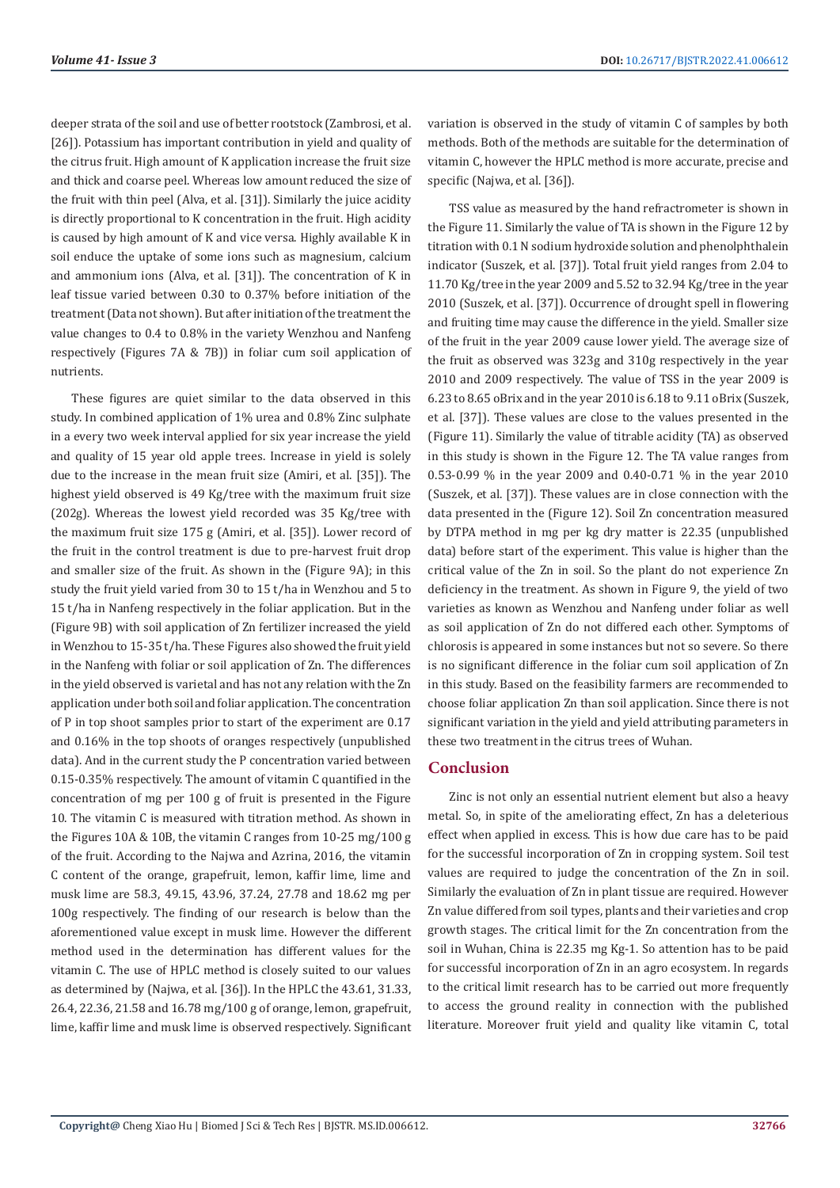deeper strata of the soil and use of better rootstock (Zambrosi, et al. [26]). Potassium has important contribution in yield and quality of the citrus fruit. High amount of K application increase the fruit size and thick and coarse peel. Whereas low amount reduced the size of the fruit with thin peel (Alva, et al. [31]). Similarly the juice acidity is directly proportional to K concentration in the fruit. High acidity is caused by high amount of K and vice versa. Highly available K in soil enduce the uptake of some ions such as magnesium, calcium and ammonium ions (Alva, et al. [31]). The concentration of K in leaf tissue varied between 0.30 to 0.37% before initiation of the treatment (Data not shown). But after initiation of the treatment the value changes to 0.4 to 0.8% in the variety Wenzhou and Nanfeng respectively (Figures 7A & 7B)) in foliar cum soil application of nutrients.

These figures are quiet similar to the data observed in this study. In combined application of 1% urea and 0.8% Zinc sulphate in a every two week interval applied for six year increase the yield and quality of 15 year old apple trees. Increase in yield is solely due to the increase in the mean fruit size (Amiri, et al. [35]). The highest yield observed is 49 Kg/tree with the maximum fruit size (202g). Whereas the lowest yield recorded was 35 Kg/tree with the maximum fruit size 175 g (Amiri, et al. [35]). Lower record of the fruit in the control treatment is due to pre-harvest fruit drop and smaller size of the fruit. As shown in the (Figure 9A); in this study the fruit yield varied from 30 to 15 t/ha in Wenzhou and 5 to 15 t/ha in Nanfeng respectively in the foliar application. But in the (Figure 9B) with soil application of Zn fertilizer increased the yield in Wenzhou to 15-35 t/ha. These Figures also showed the fruit yield in the Nanfeng with foliar or soil application of Zn. The differences in the yield observed is varietal and has not any relation with the Zn application under both soil and foliar application. The concentration of P in top shoot samples prior to start of the experiment are 0.17 and 0.16% in the top shoots of oranges respectively (unpublished data). And in the current study the P concentration varied between 0.15-0.35% respectively. The amount of vitamin C quantified in the concentration of mg per 100 g of fruit is presented in the Figure 10. The vitamin C is measured with titration method. As shown in the Figures 10A & 10B, the vitamin C ranges from 10-25 mg/100 g of the fruit. According to the Najwa and Azrina, 2016, the vitamin C content of the orange, grapefruit, lemon, kaffir lime, lime and musk lime are 58.3, 49.15, 43.96, 37.24, 27.78 and 18.62 mg per 100g respectively. The finding of our research is below than the aforementioned value except in musk lime. However the different method used in the determination has different values for the vitamin C. The use of HPLC method is closely suited to our values as determined by (Najwa, et al. [36]). In the HPLC the 43.61, 31.33, 26.4, 22.36, 21.58 and 16.78 mg/100 g of orange, lemon, grapefruit, lime, kaffir lime and musk lime is observed respectively. Significant

variation is observed in the study of vitamin C of samples by both methods. Both of the methods are suitable for the determination of vitamin C, however the HPLC method is more accurate, precise and specific (Najwa, et al. [36]).

TSS value as measured by the hand refractrometer is shown in the Figure 11. Similarly the value of TA is shown in the Figure 12 by titration with 0.1 N sodium hydroxide solution and phenolphthalein indicator (Suszek, et al. [37]). Total fruit yield ranges from 2.04 to 11.70 Kg/tree in the year 2009 and 5.52 to 32.94 Kg/tree in the year 2010 (Suszek, et al. [37]). Occurrence of drought spell in flowering and fruiting time may cause the difference in the yield. Smaller size of the fruit in the year 2009 cause lower yield. The average size of the fruit as observed was 323g and 310g respectively in the year 2010 and 2009 respectively. The value of TSS in the year 2009 is 6.23 to 8.65 oBrix and in the year 2010 is 6.18 to 9.11 oBrix (Suszek, et al. [37]). These values are close to the values presented in the (Figure 11). Similarly the value of titrable acidity (TA) as observed in this study is shown in the Figure 12. The TA value ranges from 0.53-0.99 % in the year 2009 and 0.40-0.71 % in the year 2010 (Suszek, et al. [37]). These values are in close connection with the data presented in the (Figure 12). Soil Zn concentration measured by DTPA method in mg per kg dry matter is 22.35 (unpublished data) before start of the experiment. This value is higher than the critical value of the Zn in soil. So the plant do not experience Zn deficiency in the treatment. As shown in Figure 9, the yield of two varieties as known as Wenzhou and Nanfeng under foliar as well as soil application of Zn do not differed each other. Symptoms of chlorosis is appeared in some instances but not so severe. So there is no significant difference in the foliar cum soil application of Zn in this study. Based on the feasibility farmers are recommended to choose foliar application Zn than soil application. Since there is not significant variation in the yield and yield attributing parameters in these two treatment in the citrus trees of Wuhan.

## **Conclusion**

Zinc is not only an essential nutrient element but also a heavy metal. So, in spite of the ameliorating effect, Zn has a deleterious effect when applied in excess. This is how due care has to be paid for the successful incorporation of Zn in cropping system. Soil test values are required to judge the concentration of the Zn in soil. Similarly the evaluation of Zn in plant tissue are required. However Zn value differed from soil types, plants and their varieties and crop growth stages. The critical limit for the Zn concentration from the soil in Wuhan, China is 22.35 mg Kg-1. So attention has to be paid for successful incorporation of Zn in an agro ecosystem. In regards to the critical limit research has to be carried out more frequently to access the ground reality in connection with the published literature. Moreover fruit yield and quality like vitamin C, total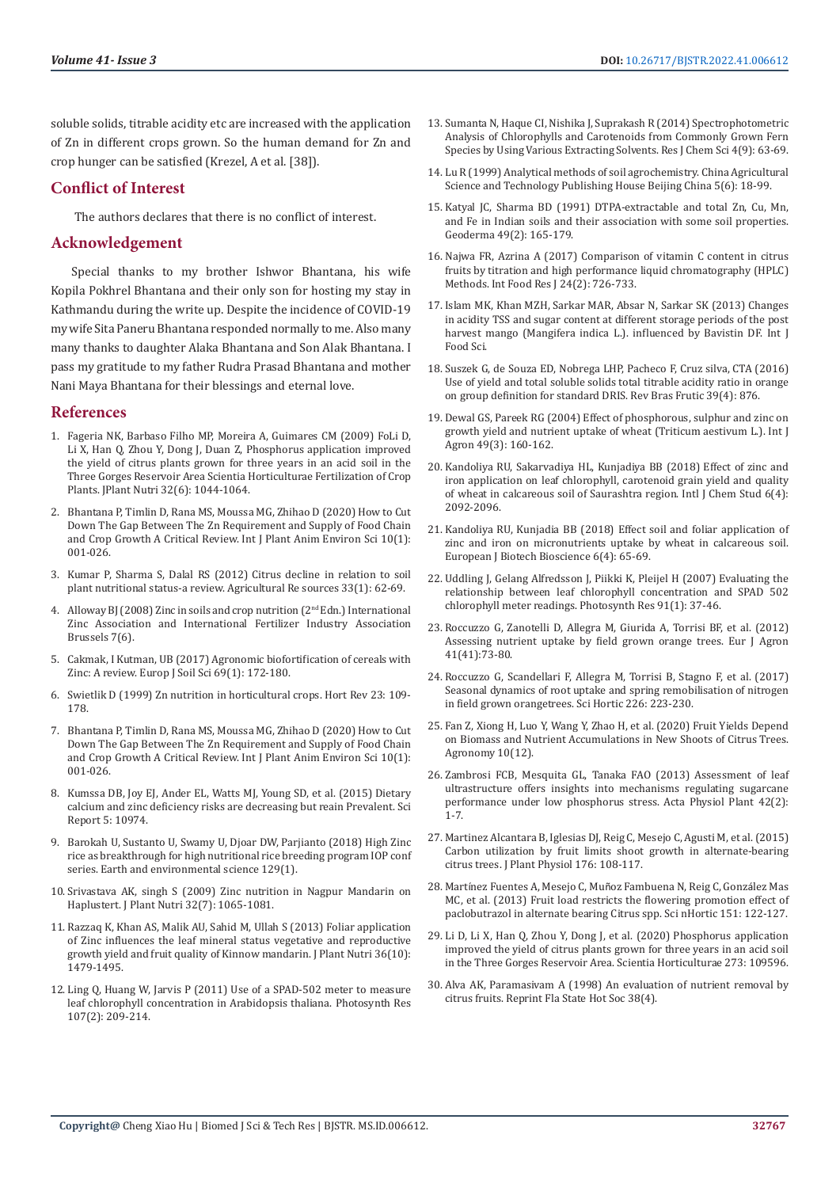soluble solids, titrable acidity etc are increased with the application of Zn in different crops grown. So the human demand for Zn and crop hunger can be satisfied (Krezel, A et al. [38]).

# **Conflict of Interest**

The authors declares that there is no conflict of interest.

# **Acknowledgement**

Special thanks to my brother Ishwor Bhantana, his wife Kopila Pokhrel Bhantana and their only son for hosting my stay in Kathmandu during the write up. Despite the incidence of COVID-19 my wife Sita Paneru Bhantana responded normally to me. Also many many thanks to daughter Alaka Bhantana and Son Alak Bhantana. I pass my gratitude to my father Rudra Prasad Bhantana and mother Nani Maya Bhantana for their blessings and eternal love.

## **References**

- 1. Fageria NK, Barbaso Filho MP, Moreira A, Guimares CM (2009) Fo[Li D,](https://www.tandfonline.com/doi/abs/10.1080/01904160902872826)  [Li X, Han Q, Zhou Y, Dong J, Duan Z, Phosphorus application improved](https://www.tandfonline.com/doi/abs/10.1080/01904160902872826)  [the yield of citrus plants grown for three years in an acid soil in the](https://www.tandfonline.com/doi/abs/10.1080/01904160902872826)  [Three Gorges Reservoir Area Scientia Horticulturae Fertilization of Crop](https://www.tandfonline.com/doi/abs/10.1080/01904160902872826)  [Plants. JPlant Nutri 32\(6\): 1044-1064.](https://www.tandfonline.com/doi/abs/10.1080/01904160902872826)
- 2. [Bhantana P, Timlin D, Rana MS, Moussa MG, Zhihao D \(2020\) How to Cut](https://www.researchgate.net/publication/338852590_How_to_Cut_Down_The_Gap_Between_The_Zn_Requirement_and_Supply_of_Food_Chain_and_Crop_Growth_A_Critical_Review_Citation)  [Down The Gap Between The Zn Requirement and Supply of Food Chain](https://www.researchgate.net/publication/338852590_How_to_Cut_Down_The_Gap_Between_The_Zn_Requirement_and_Supply_of_Food_Chain_and_Crop_Growth_A_Critical_Review_Citation)  [and Crop Growth A Critical Review. Int J Plant Anim Environ Sci 10\(1\):](https://www.researchgate.net/publication/338852590_How_to_Cut_Down_The_Gap_Between_The_Zn_Requirement_and_Supply_of_Food_Chain_and_Crop_Growth_A_Critical_Review_Citation)  [001-026.](https://www.researchgate.net/publication/338852590_How_to_Cut_Down_The_Gap_Between_The_Zn_Requirement_and_Supply_of_Food_Chain_and_Crop_Growth_A_Critical_Review_Citation)
- 3. [Kumar P, Sharma S, Dalal RS \(2012\) Citrus decline in relation to soil](https://arccjournals.com/journal/agricultural-reviews/ARCC564)  [plant nutritional status-a review. Agricultural Re sources 33\(1\): 62-69.](https://arccjournals.com/journal/agricultural-reviews/ARCC564)
- Alloway BJ (2008) Zinc in soils and crop nutrition (2<sup>nd</sup> Edn.) International Zinc Association and International Fertilizer Industry Association Brussels 7(6).
- 5. Cakmak, I Kutman, UB (2017) Agronomic biofortification of cereals with Zinc: A review. Europ J Soil Sci 69(1): 172-180.
- 6. [Swietlik D \(1999\) Zn nutrition in horticultural crops. Hort Rev 23: 109-](https://www.researchgate.net/publication/228033257_Zinc_Nutrition_in_Horticultural_Crops) [178.](https://www.researchgate.net/publication/228033257_Zinc_Nutrition_in_Horticultural_Crops)
- 7. Bhantana P, Timlin D, Rana MS, Moussa MG, Zhihao D (2020) How to Cut Down The Gap Between The Zn Requirement and Supply of Food Chain and Crop Growth A Critical Review. Int J Plant Anim Environ Sci 10(1): 001-026.
- 8. Kumssa DB, Joy EJ, Ander EL, Watts MJ, Young SD, et al. (2015) Dietary calcium and zinc deficiency risks are decreasing but reain Prevalent. Sci Report 5: 10974.
- 9. [Barokah U, Sustanto U, Swamy U, Djoar DW, Parjianto \(2018\) High Zinc](https://www.researchgate.net/publication/323859106_High-zinc_rice_as_a_breakthrough_for_high_nutritional_rice_breeding_program)  [rice as breakthrough for high nutritional rice breeding program IOP conf](https://www.researchgate.net/publication/323859106_High-zinc_rice_as_a_breakthrough_for_high_nutritional_rice_breeding_program)  [series. Earth and environmental science 129\(1\).](https://www.researchgate.net/publication/323859106_High-zinc_rice_as_a_breakthrough_for_high_nutritional_rice_breeding_program)
- 10. [Srivastava AK, singh S \(2009\) Zinc nutrition in Nagpur Mandarin on](https://www.tandfonline.com/doi/abs/10.1080/01904160902943114)  [Haplustert. J Plant Nutri 32\(7\): 1065-1081.](https://www.tandfonline.com/doi/abs/10.1080/01904160902943114)
- 11. Razzaq K, Khan AS, Malik AU, Sahid M, Ullah S (2013) Foliar application of Zinc influences the leaf mineral status vegetative and reproductive growth yield and fruit quality of Kinnow mandarin. J Plant Nutri 36(10): 1479-1495.
- 12. [Ling Q, Huang W, Jarvis P \(2011\) Use of a SPAD-502 meter to measure](https://pubmed.ncbi.nlm.nih.gov/21188527/)  [leaf chlorophyll concentration in Arabidopsis thaliana. Photosynth Res](https://pubmed.ncbi.nlm.nih.gov/21188527/)  [107\(2\): 209-214.](https://pubmed.ncbi.nlm.nih.gov/21188527/)
- 13. [Sumanta N, Haque CI, Nishika J, Suprakash R \(2014\) Spectrophotometric](https://www.cabdirect.org/cabdirect/abstract/20153044304) [Analysis of Chlorophylls and Carotenoids from Commonly Grown Fern](https://www.cabdirect.org/cabdirect/abstract/20153044304) [Species by Using Various Extracting Solvents. Res J Chem Sci 4\(9\): 63-69.](https://www.cabdirect.org/cabdirect/abstract/20153044304)
- 14. [Lu R \(1999\) Analytical methods of soil agrochemistry. China Agricultural](https://www.scirp.org/(S(i43dyn45teexjx455qlt3d2q))/reference/ReferencesPapers.aspx?ReferenceID=833570) [Science and Technology Publishing House Beijing China 5\(6\): 18-99.](https://www.scirp.org/(S(i43dyn45teexjx455qlt3d2q))/reference/ReferencesPapers.aspx?ReferenceID=833570)
- 15. [Katyal JC, Sharma BD \(1991\) DTPA-extractable and total Zn, Cu, Mn,](https://www.sciencedirect.com/science/article/abs/pii/001670619190099F) [and Fe in Indian soils and their association with some soil properties.](https://www.sciencedirect.com/science/article/abs/pii/001670619190099F) [Geoderma 49\(2\): 165-179.](https://www.sciencedirect.com/science/article/abs/pii/001670619190099F)
- 16. [Najwa FR, Azrina A \(2017\) Comparison of vitamin C content in citrus](https://www.researchgate.net/publication/317932897_Comparison_of_vitamin_C_content_in_citrus_fruits_by_titration_and_high_performance_liquid_chromatography_HPLC_methods) [fruits by titration and high performance liquid chromatography \(HPLC\)](https://www.researchgate.net/publication/317932897_Comparison_of_vitamin_C_content_in_citrus_fruits_by_titration_and_high_performance_liquid_chromatography_HPLC_methods) [Methods. Int Food Res J 24\(2\): 726-733.](https://www.researchgate.net/publication/317932897_Comparison_of_vitamin_C_content_in_citrus_fruits_by_titration_and_high_performance_liquid_chromatography_HPLC_methods)
- 17. [Islam MK, Khan MZH, Sarkar MAR, Absar N, Sarkar SK \(2013\) Changes](https://www.hindawi.com/journals/ijfs/2013/939385/) [in acidity TSS and sugar content at different storage periods of the post](https://www.hindawi.com/journals/ijfs/2013/939385/) [harvest mango \(Mangifera indica L.\). influenced by Bavistin DF. Int J](https://www.hindawi.com/journals/ijfs/2013/939385/) [Food Sci.](https://www.hindawi.com/journals/ijfs/2013/939385/)
- 18. [Suszek G, de Souza ED, Nobrega LHP, Pacheco F, Cruz silva, CTA \(2016\)](https://www.researchgate.net/publication/321492324_USE_OF_YIELD_AND_TOTAL_SOLUBLE_SOLIDSTOTAL_TITRATABLE_ACIDITY_RATIO_IN_ORANGE_ON_GROUP_DEFINITION_FOR_STANDARD_DRIS) [Use of yield and total soluble solids total titrable acidity ratio in orange](https://www.researchgate.net/publication/321492324_USE_OF_YIELD_AND_TOTAL_SOLUBLE_SOLIDSTOTAL_TITRATABLE_ACIDITY_RATIO_IN_ORANGE_ON_GROUP_DEFINITION_FOR_STANDARD_DRIS) [on group definition for standard DRIS. Rev Bras Frutic 39\(4\): 876.](https://www.researchgate.net/publication/321492324_USE_OF_YIELD_AND_TOTAL_SOLUBLE_SOLIDSTOTAL_TITRATABLE_ACIDITY_RATIO_IN_ORANGE_ON_GROUP_DEFINITION_FOR_STANDARD_DRIS)
- 19. [Dewal GS, Pareek RG \(2004\) Effect of phosphorous, sulphur and zinc on](https://www.researchgate.net/publication/290611273_Effect_of_phosphorus_sulphur_and_zinc_on_growth_yield_and_nutrient_uptake_of_wheat_Triticum_aestivum) [growth yield and nutrient uptake of wheat \(Triticum aestivum L.\). Int J](https://www.researchgate.net/publication/290611273_Effect_of_phosphorus_sulphur_and_zinc_on_growth_yield_and_nutrient_uptake_of_wheat_Triticum_aestivum) [Agron 49\(3\): 160-162.](https://www.researchgate.net/publication/290611273_Effect_of_phosphorus_sulphur_and_zinc_on_growth_yield_and_nutrient_uptake_of_wheat_Triticum_aestivum)
- 20. [Kandoliya RU, Sakarvadiya HL, Kunjadiya BB \(2018\) Effect of zinc and](https://www.researchgate.net/publication/327419029_Effect_of_zinc_and_iron_application_on_leaf_chlorophyll_carotenoid_grain_yield_and_quality_of_wheat_in_calcareous_soil_of_Saurashtra_region) [iron application on leaf chlorophyll, carotenoid grain yield and quality](https://www.researchgate.net/publication/327419029_Effect_of_zinc_and_iron_application_on_leaf_chlorophyll_carotenoid_grain_yield_and_quality_of_wheat_in_calcareous_soil_of_Saurashtra_region) [of wheat in calcareous soil of Saurashtra region. Intl J Chem Stud 6\(4\):](https://www.researchgate.net/publication/327419029_Effect_of_zinc_and_iron_application_on_leaf_chlorophyll_carotenoid_grain_yield_and_quality_of_wheat_in_calcareous_soil_of_Saurashtra_region) [2092-2096.](https://www.researchgate.net/publication/327419029_Effect_of_zinc_and_iron_application_on_leaf_chlorophyll_carotenoid_grain_yield_and_quality_of_wheat_in_calcareous_soil_of_Saurashtra_region)
- 21. [Kandoliya RU, Kunjadia BB \(2018\) Effect soil and foliar application of](http://www.biosciencejournals.com/archives/2018/vol6/issue4/6-4-27) [zinc and iron on micronutrients uptake by wheat in calcareous soil.](http://www.biosciencejournals.com/archives/2018/vol6/issue4/6-4-27) [European J Biotech Bioscience 6\(4\): 65-69.](http://www.biosciencejournals.com/archives/2018/vol6/issue4/6-4-27)
- 22. [Uddling J, Gelang Alfredsson J, Piikki K, Pleijel H \(2007\) Evaluating the](https://pubmed.ncbi.nlm.nih.gov/17342446/) [relationship between leaf chlorophyll concentration and SPAD 502](https://pubmed.ncbi.nlm.nih.gov/17342446/) [chlorophyll meter readings. Photosynth Res 91\(1\): 37-46.](https://pubmed.ncbi.nlm.nih.gov/17342446/)
- 23. [Roccuzzo G, Zanotelli D, Allegra M, Giurida A, Torrisi BF, et al. \(2012\)](https://www.researchgate.net/publication/232250837_Assessing_nutrient_uptake_by_field-grown_orange_trees) [Assessing nutrient uptake by field grown orange trees. Eur J Agron](https://www.researchgate.net/publication/232250837_Assessing_nutrient_uptake_by_field-grown_orange_trees) [41\(41\):73-80.](https://www.researchgate.net/publication/232250837_Assessing_nutrient_uptake_by_field-grown_orange_trees)
- 24. [Roccuzzo G, Scandellari F, Allegra M, Torrisi B, Stagno F, et al. \(2017\)](https://www.researchgate.net/publication/320457863_Seasonal_dynamics_of_root_uptake_and_spring_remobilisation_of_nitrogen_in_field_grown_orange_trees) [Seasonal dynamics of root uptake and spring remobilisation of nitrogen](https://www.researchgate.net/publication/320457863_Seasonal_dynamics_of_root_uptake_and_spring_remobilisation_of_nitrogen_in_field_grown_orange_trees) [in field grown orangetrees. Sci Hortic 226: 223-230.](https://www.researchgate.net/publication/320457863_Seasonal_dynamics_of_root_uptake_and_spring_remobilisation_of_nitrogen_in_field_grown_orange_trees)
- 25. [Fan Z, Xiong H, Luo Y, Wang Y, Zhao H, et al. \(2020\) Fruit Yields Depend](https://www.mdpi.com/2073-4395/10/12/1988) [on Biomass and Nutrient Accumulations in New Shoots of Citrus Trees.](https://www.mdpi.com/2073-4395/10/12/1988) [Agronomy 10\(12\).](https://www.mdpi.com/2073-4395/10/12/1988)
- 26. [Zambrosi FCB, Mesquita GL, Tanaka FAO \(2013\) Assessment of leaf](https://pubag.nal.usda.gov/catalog/6875318) [ultrastructure offers insights into mechanisms regulating sugarcane](https://pubag.nal.usda.gov/catalog/6875318) [performance under low phosphorus stress. Acta Physiol Plant 42\(2\):](https://pubag.nal.usda.gov/catalog/6875318) [1-7](https://pubag.nal.usda.gov/catalog/6875318).
- 27. [Martinez Alcantara B, Iglesias DJ, Reig C, Mesejo C, Agusti M, et al. \(2015\)](https://pubmed.ncbi.nlm.nih.gov/25588695/) [Carbon utilization by fruit limits shoot growth in alternate-bearing](https://pubmed.ncbi.nlm.nih.gov/25588695/) [citrus trees. J Plant Physiol 176: 108-117.](https://pubmed.ncbi.nlm.nih.gov/25588695/)
- 28. Martínez Fuentes A, Mesejo C, Muñ[oz Fambuena N, Reig C, Gonz](https://www.researchgate.net/publication/257148226_Fruit_load_restricts_the_flowering_promotion_effect_of_paclobutrazol_in_alternate_bearing_Citrus_spp)ález Mas [MC, et al. \(2013\) Fruit load restricts the flowering promotion effect of](https://www.researchgate.net/publication/257148226_Fruit_load_restricts_the_flowering_promotion_effect_of_paclobutrazol_in_alternate_bearing_Citrus_spp) [paclobutrazol in alternate bearing Citrus spp. Sci nHortic 151: 122-127.](https://www.researchgate.net/publication/257148226_Fruit_load_restricts_the_flowering_promotion_effect_of_paclobutrazol_in_alternate_bearing_Citrus_spp)
- 29. [Li D, Li X, Han Q, Zhou Y, Dong J, et al. \(2020\) Phosphorus application](https://pubag.nal.usda.gov/catalog/7045723) [improved the yield of citrus plants grown for three years in an acid soil](https://pubag.nal.usda.gov/catalog/7045723) [in the Three Gorges Reservoir Area. Scientia Horticulturae 273: 109596.](https://pubag.nal.usda.gov/catalog/7045723)
- 30. Alva AK, Paramasivam A (1998) An evaluation of nutrient removal by citrus fruits. Reprint Fla State Hot Soc 38(4).